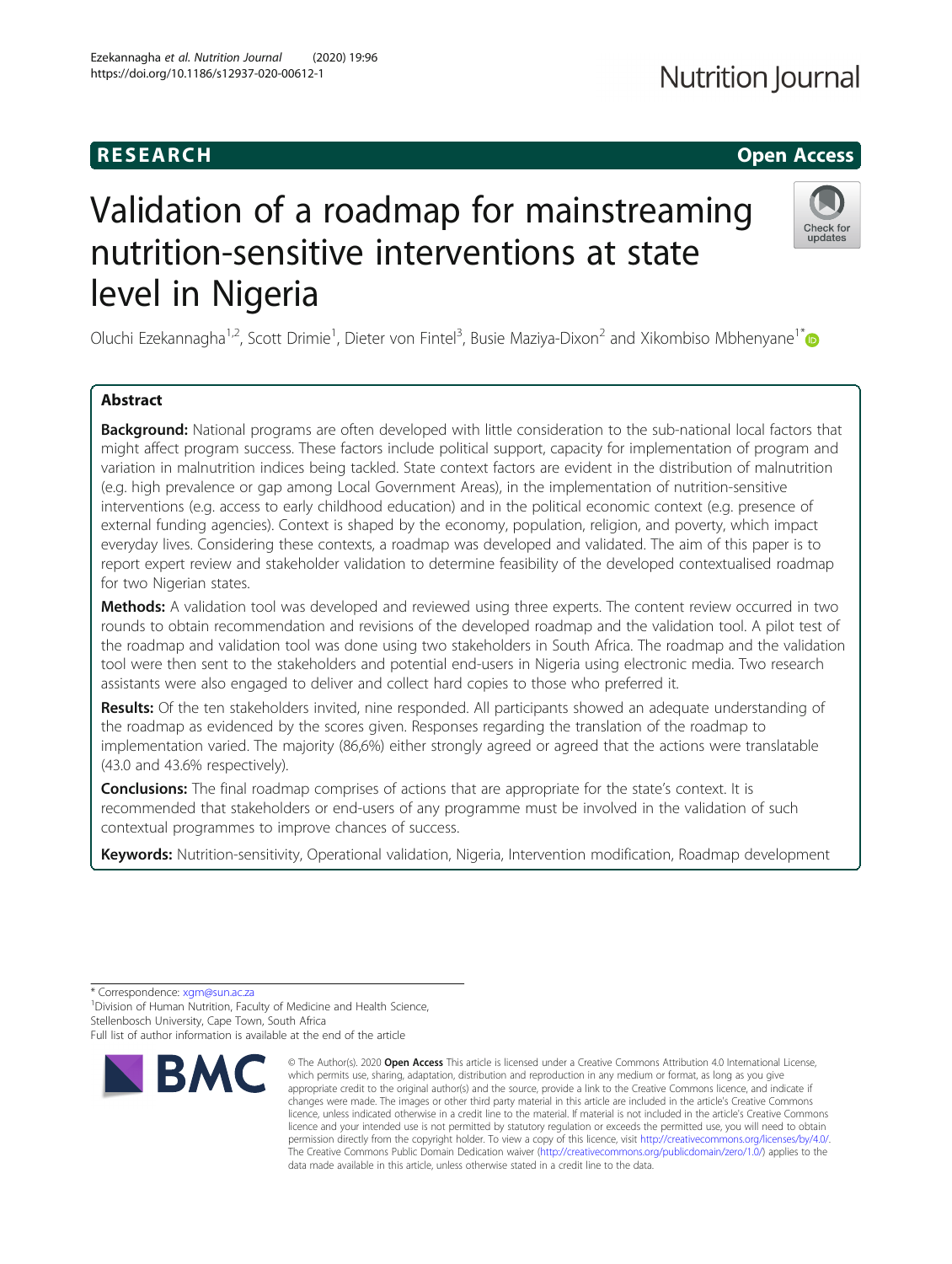## R E S EAR CH Open Access

# Validation of a roadmap for mainstreaming nutrition-sensitive interventions at state level in Nigeria

Oluchi Ezekannagha<sup>1,2</sup>, Scott Drimie<sup>1</sup>, Dieter von Fintel<sup>3</sup>, Busie Maziya-Dixon<sup>2</sup> and Xikombiso Mbhenyane<sup>1\*</sup>

### Abstract

Background: National programs are often developed with little consideration to the sub-national local factors that might affect program success. These factors include political support, capacity for implementation of program and variation in malnutrition indices being tackled. State context factors are evident in the distribution of malnutrition (e.g. high prevalence or gap among Local Government Areas), in the implementation of nutrition-sensitive interventions (e.g. access to early childhood education) and in the political economic context (e.g. presence of external funding agencies). Context is shaped by the economy, population, religion, and poverty, which impact everyday lives. Considering these contexts, a roadmap was developed and validated. The aim of this paper is to report expert review and stakeholder validation to determine feasibility of the developed contextualised roadmap for two Nigerian states.

**Methods:** A validation tool was developed and reviewed using three experts. The content review occurred in two rounds to obtain recommendation and revisions of the developed roadmap and the validation tool. A pilot test of the roadmap and validation tool was done using two stakeholders in South Africa. The roadmap and the validation tool were then sent to the stakeholders and potential end-users in Nigeria using electronic media. Two research assistants were also engaged to deliver and collect hard copies to those who preferred it.

Results: Of the ten stakeholders invited, nine responded. All participants showed an adequate understanding of the roadmap as evidenced by the scores given. Responses regarding the translation of the roadmap to implementation varied. The majority (86,6%) either strongly agreed or agreed that the actions were translatable (43.0 and 43.6% respectively).

**Conclusions:** The final roadmap comprises of actions that are appropriate for the state's context. It is recommended that stakeholders or end-users of any programme must be involved in the validation of such contextual programmes to improve chances of success.

Keywords: Nutrition-sensitivity, Operational validation, Nigeria, Intervention modification, Roadmap development

\* Correspondence: [xgm@sun.ac.za](mailto:xgm@sun.ac.za) <sup>1</sup>

<sup>1</sup> Division of Human Nutrition, Faculty of Medicine and Health Science, Stellenbosch University, Cape Town, South Africa

© The Author(s), 2020 **Open Access** This article is licensed under a Creative Commons Attribution 4.0 International License, which permits use, sharing, adaptation, distribution and reproduction in any medium or format, as long as you give data made available in this article, unless otherwise stated in a credit line to the data.

**RMC** 





appropriate credit to the original author(s) and the source, provide a link to the Creative Commons licence, and indicate if changes were made. The images or other third party material in this article are included in the article's Creative Commons licence, unless indicated otherwise in a credit line to the material. If material is not included in the article's Creative Commons licence and your intended use is not permitted by statutory regulation or exceeds the permitted use, you will need to obtain permission directly from the copyright holder. To view a copy of this licence, visit [http://creativecommons.org/licenses/by/4.0/.](http://creativecommons.org/licenses/by/4.0/) The Creative Commons Public Domain Dedication waiver [\(http://creativecommons.org/publicdomain/zero/1.0/](http://creativecommons.org/publicdomain/zero/1.0/)) applies to the

Full list of author information is available at the end of the article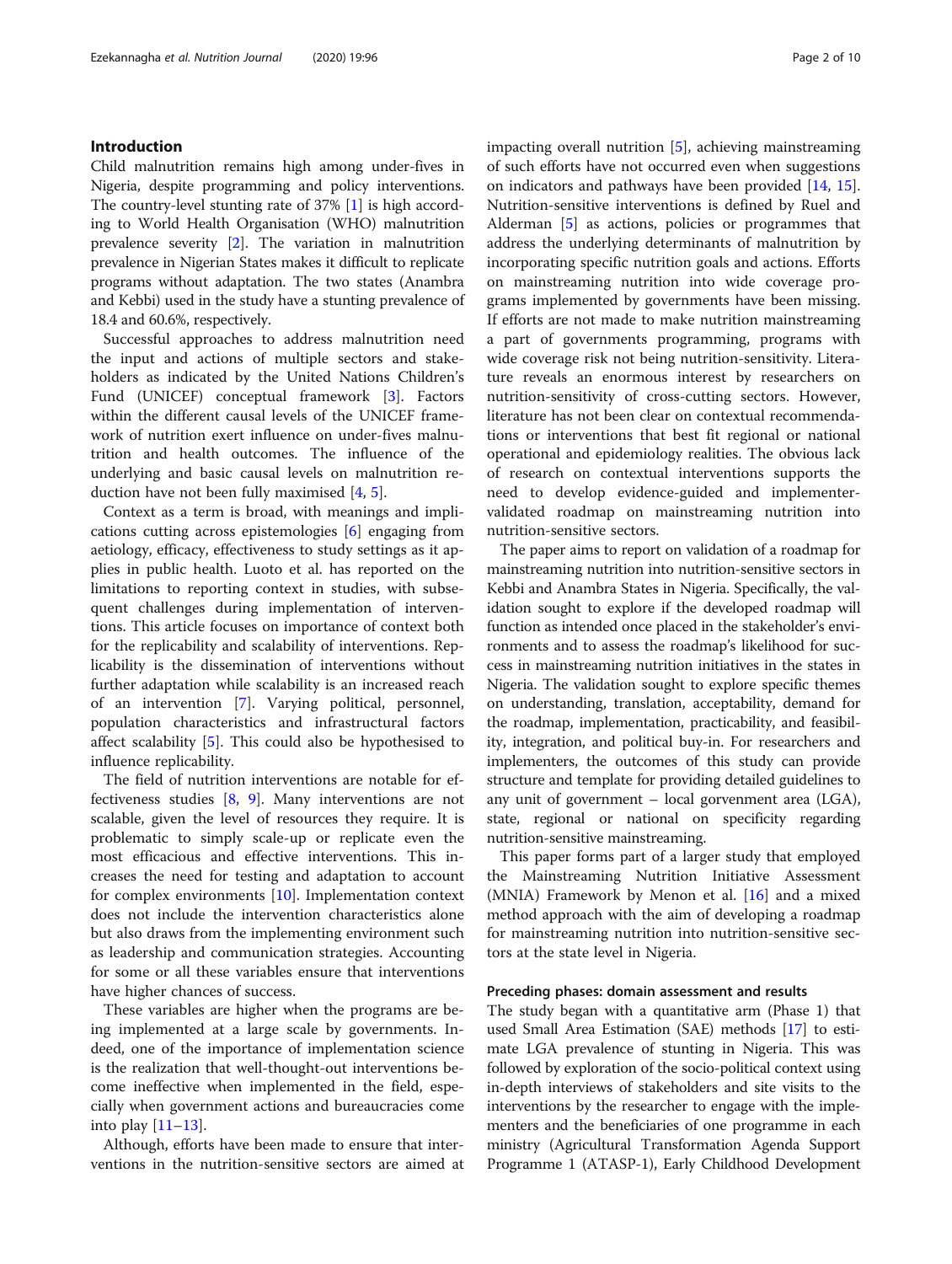#### Introduction

Child malnutrition remains high among under-fives in Nigeria, despite programming and policy interventions. The country-level stunting rate of 37% [\[1](#page-8-0)] is high according to World Health Organisation (WHO) malnutrition prevalence severity [\[2](#page-8-0)]. The variation in malnutrition prevalence in Nigerian States makes it difficult to replicate programs without adaptation. The two states (Anambra and Kebbi) used in the study have a stunting prevalence of 18.4 and 60.6%, respectively.

Successful approaches to address malnutrition need the input and actions of multiple sectors and stakeholders as indicated by the United Nations Children's Fund (UNICEF) conceptual framework [[3\]](#page-8-0). Factors within the different causal levels of the UNICEF framework of nutrition exert influence on under-fives malnutrition and health outcomes. The influence of the underlying and basic causal levels on malnutrition reduction have not been fully maximised [\[4,](#page-8-0) [5\]](#page-8-0).

Context as a term is broad, with meanings and implications cutting across epistemologies [\[6](#page-8-0)] engaging from aetiology, efficacy, effectiveness to study settings as it applies in public health. Luoto et al. has reported on the limitations to reporting context in studies, with subsequent challenges during implementation of interventions. This article focuses on importance of context both for the replicability and scalability of interventions. Replicability is the dissemination of interventions without further adaptation while scalability is an increased reach of an intervention [[7](#page-9-0)]. Varying political, personnel, population characteristics and infrastructural factors affect scalability [[5\]](#page-8-0). This could also be hypothesised to influence replicability.

The field of nutrition interventions are notable for effectiveness studies  $[8, 9]$  $[8, 9]$  $[8, 9]$  $[8, 9]$  $[8, 9]$ . Many interventions are not scalable, given the level of resources they require. It is problematic to simply scale-up or replicate even the most efficacious and effective interventions. This increases the need for testing and adaptation to account for complex environments [[10](#page-9-0)]. Implementation context does not include the intervention characteristics alone but also draws from the implementing environment such as leadership and communication strategies. Accounting for some or all these variables ensure that interventions have higher chances of success.

These variables are higher when the programs are being implemented at a large scale by governments. Indeed, one of the importance of implementation science is the realization that well-thought-out interventions become ineffective when implemented in the field, especially when government actions and bureaucracies come into play [[11](#page-9-0)–[13](#page-9-0)].

Although, efforts have been made to ensure that interventions in the nutrition-sensitive sectors are aimed at impacting overall nutrition [\[5](#page-8-0)], achieving mainstreaming of such efforts have not occurred even when suggestions on indicators and pathways have been provided [\[14](#page-9-0), [15](#page-9-0)]. Nutrition-sensitive interventions is defined by Ruel and Alderman [[5\]](#page-8-0) as actions, policies or programmes that address the underlying determinants of malnutrition by incorporating specific nutrition goals and actions. Efforts on mainstreaming nutrition into wide coverage programs implemented by governments have been missing. If efforts are not made to make nutrition mainstreaming a part of governments programming, programs with wide coverage risk not being nutrition-sensitivity. Literature reveals an enormous interest by researchers on nutrition-sensitivity of cross-cutting sectors. However, literature has not been clear on contextual recommendations or interventions that best fit regional or national operational and epidemiology realities. The obvious lack of research on contextual interventions supports the need to develop evidence-guided and implementervalidated roadmap on mainstreaming nutrition into nutrition-sensitive sectors.

The paper aims to report on validation of a roadmap for mainstreaming nutrition into nutrition-sensitive sectors in Kebbi and Anambra States in Nigeria. Specifically, the validation sought to explore if the developed roadmap will function as intended once placed in the stakeholder's environments and to assess the roadmap's likelihood for success in mainstreaming nutrition initiatives in the states in Nigeria. The validation sought to explore specific themes on understanding, translation, acceptability, demand for the roadmap, implementation, practicability, and feasibility, integration, and political buy-in. For researchers and implementers, the outcomes of this study can provide structure and template for providing detailed guidelines to any unit of government – local gorvenment area (LGA), state, regional or national on specificity regarding nutrition-sensitive mainstreaming.

This paper forms part of a larger study that employed the Mainstreaming Nutrition Initiative Assessment (MNIA) Framework by Menon et al. [\[16](#page-9-0)] and a mixed method approach with the aim of developing a roadmap for mainstreaming nutrition into nutrition-sensitive sectors at the state level in Nigeria.

#### Preceding phases: domain assessment and results

The study began with a quantitative arm (Phase 1) that used Small Area Estimation (SAE) methods [[17](#page-9-0)] to estimate LGA prevalence of stunting in Nigeria. This was followed by exploration of the socio-political context using in-depth interviews of stakeholders and site visits to the interventions by the researcher to engage with the implementers and the beneficiaries of one programme in each ministry (Agricultural Transformation Agenda Support Programme 1 (ATASP-1), Early Childhood Development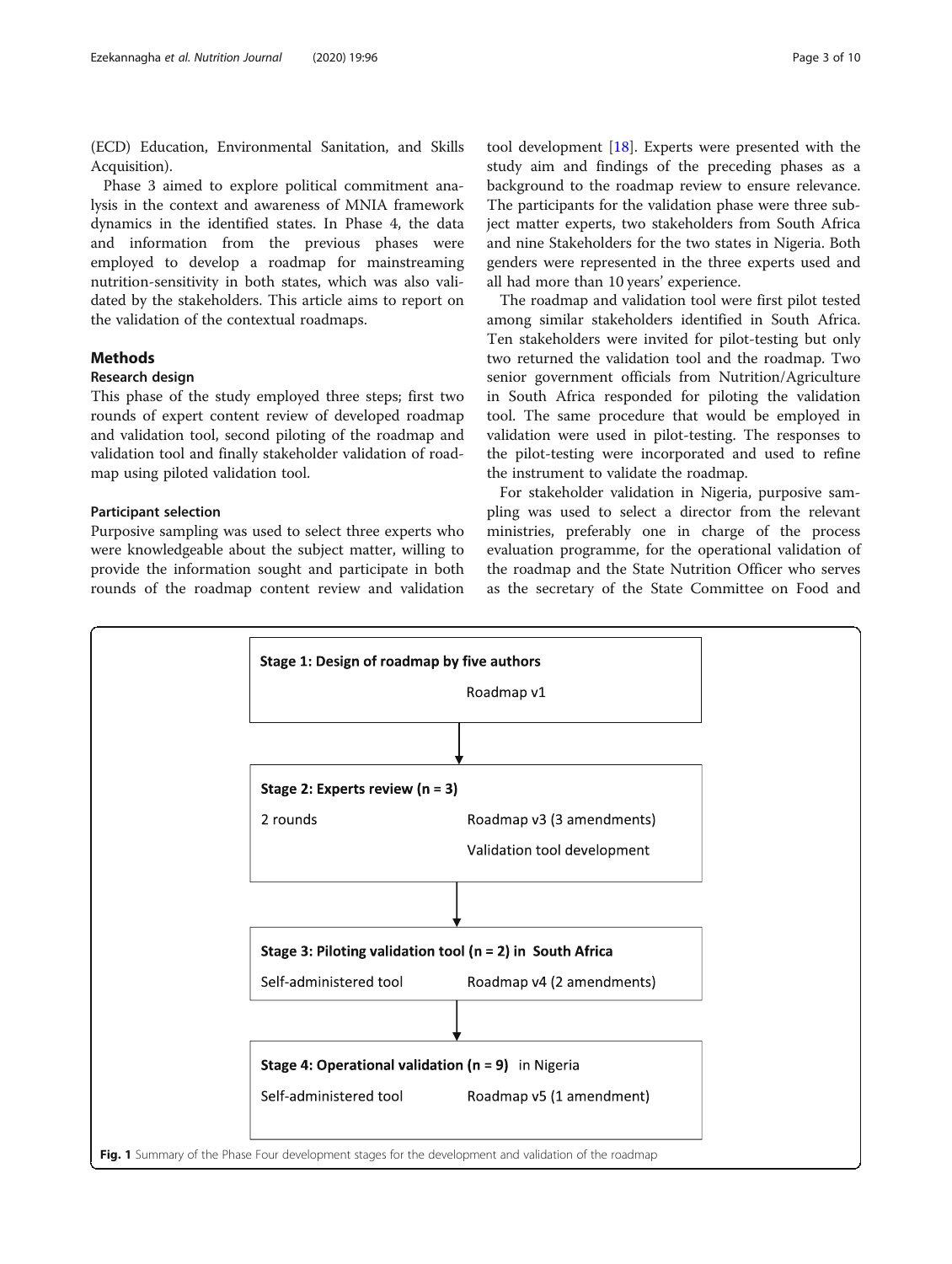<span id="page-2-0"></span>(ECD) Education, Environmental Sanitation, and Skills Acquisition).

Phase 3 aimed to explore political commitment analysis in the context and awareness of MNIA framework dynamics in the identified states. In Phase 4, the data and information from the previous phases were employed to develop a roadmap for mainstreaming nutrition-sensitivity in both states, which was also validated by the stakeholders. This article aims to report on the validation of the contextual roadmaps.

#### Methods

#### Research design

This phase of the study employed three steps; first two rounds of expert content review of developed roadmap and validation tool, second piloting of the roadmap and validation tool and finally stakeholder validation of roadmap using piloted validation tool.

#### Participant selection

Purposive sampling was used to select three experts who were knowledgeable about the subject matter, willing to provide the information sought and participate in both rounds of the roadmap content review and validation tool development [\[18\]](#page-9-0). Experts were presented with the study aim and findings of the preceding phases as a background to the roadmap review to ensure relevance. The participants for the validation phase were three subject matter experts, two stakeholders from South Africa and nine Stakeholders for the two states in Nigeria. Both genders were represented in the three experts used and all had more than 10 years' experience.

The roadmap and validation tool were first pilot tested among similar stakeholders identified in South Africa. Ten stakeholders were invited for pilot-testing but only two returned the validation tool and the roadmap. Two senior government officials from Nutrition/Agriculture in South Africa responded for piloting the validation tool. The same procedure that would be employed in validation were used in pilot-testing. The responses to the pilot-testing were incorporated and used to refine the instrument to validate the roadmap.

For stakeholder validation in Nigeria, purposive sampling was used to select a director from the relevant ministries, preferably one in charge of the process evaluation programme, for the operational validation of the roadmap and the State Nutrition Officer who serves as the secretary of the State Committee on Food and

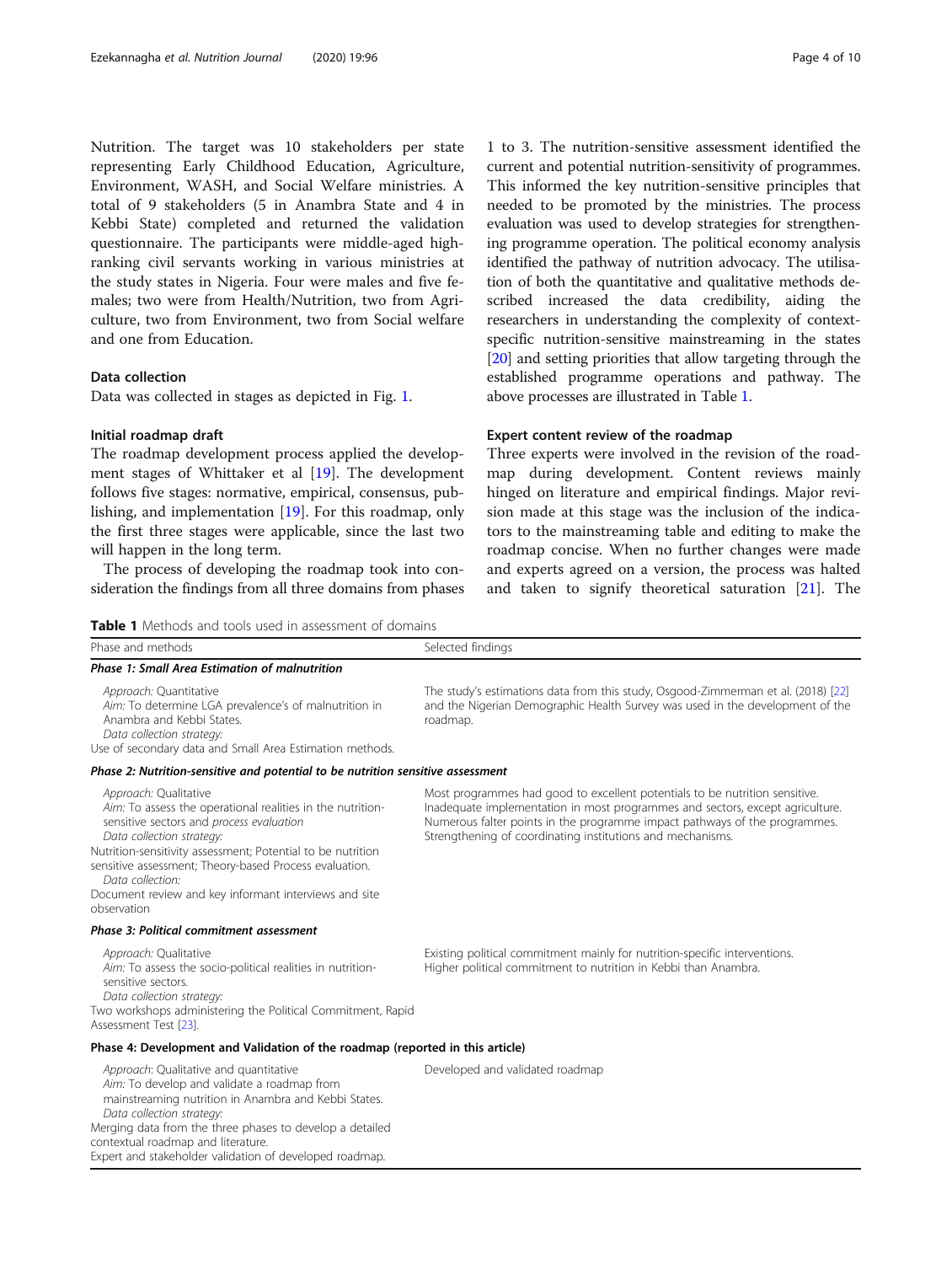Nutrition. The target was 10 stakeholders per state representing Early Childhood Education, Agriculture, Environment, WASH, and Social Welfare ministries. A total of 9 stakeholders (5 in Anambra State and 4 in Kebbi State) completed and returned the validation questionnaire. The participants were middle-aged highranking civil servants working in various ministries at the study states in Nigeria. Four were males and five females; two were from Health/Nutrition, two from Agriculture, two from Environment, two from Social welfare and one from Education.

#### Data collection

Data was collected in stages as depicted in Fig. [1.](#page-2-0)

#### Initial roadmap draft

The roadmap development process applied the development stages of Whittaker et al [\[19](#page-9-0)]. The development follows five stages: normative, empirical, consensus, publishing, and implementation [\[19\]](#page-9-0). For this roadmap, only the first three stages were applicable, since the last two will happen in the long term.

The process of developing the roadmap took into consideration the findings from all three domains from phases

Table 1 Methods and tools used in assessment of domains

1 to 3. The nutrition-sensitive assessment identified the current and potential nutrition-sensitivity of programmes. This informed the key nutrition-sensitive principles that needed to be promoted by the ministries. The process evaluation was used to develop strategies for strengthening programme operation. The political economy analysis identified the pathway of nutrition advocacy. The utilisation of both the quantitative and qualitative methods described increased the data credibility, aiding the researchers in understanding the complexity of contextspecific nutrition-sensitive mainstreaming in the states [[20](#page-9-0)] and setting priorities that allow targeting through the established programme operations and pathway. The above processes are illustrated in Table 1.

#### Expert content review of the roadmap

Three experts were involved in the revision of the roadmap during development. Content reviews mainly hinged on literature and empirical findings. Major revision made at this stage was the inclusion of the indicators to the mainstreaming table and editing to make the roadmap concise. When no further changes were made and experts agreed on a version, the process was halted and taken to signify theoretical saturation [[21\]](#page-9-0). The

| <b>Lable I</b> INCLIDUS and tools used in assessment of domains                                                                                                                                                                                                                                                                                                                   |                                                                                                                                                                                                                                                                                                          |
|-----------------------------------------------------------------------------------------------------------------------------------------------------------------------------------------------------------------------------------------------------------------------------------------------------------------------------------------------------------------------------------|----------------------------------------------------------------------------------------------------------------------------------------------------------------------------------------------------------------------------------------------------------------------------------------------------------|
| Phase and methods                                                                                                                                                                                                                                                                                                                                                                 | Selected findings                                                                                                                                                                                                                                                                                        |
| <b>Phase 1: Small Area Estimation of malnutrition</b>                                                                                                                                                                                                                                                                                                                             |                                                                                                                                                                                                                                                                                                          |
| Approach: Quantitative<br>Aim: To determine LGA prevalence's of malnutrition in<br>Anambra and Kebbi States.<br>Data collection strategy:<br>Use of secondary data and Small Area Estimation methods.                                                                                                                                                                             | The study's estimations data from this study, Osgood-Zimmerman et al. (2018) [22]<br>and the Nigerian Demographic Health Survey was used in the development of the<br>roadmap.                                                                                                                           |
| Phase 2: Nutrition-sensitive and potential to be nutrition sensitive assessment                                                                                                                                                                                                                                                                                                   |                                                                                                                                                                                                                                                                                                          |
| Approach: Qualitative<br>Aim: To assess the operational realities in the nutrition-<br>sensitive sectors and process evaluation<br>Data collection strategy:<br>Nutrition-sensitivity assessment; Potential to be nutrition<br>sensitive assessment; Theory-based Process evaluation.<br>Data collection:<br>Document review and key informant interviews and site<br>observation | Most programmes had good to excellent potentials to be nutrition sensitive.<br>Inadequate implementation in most programmes and sectors, except agriculture.<br>Numerous falter points in the programme impact pathways of the programmes.<br>Strengthening of coordinating institutions and mechanisms. |
| Phase 3: Political commitment assessment                                                                                                                                                                                                                                                                                                                                          |                                                                                                                                                                                                                                                                                                          |
| Approach: Qualitative<br>Aim: To assess the socio-political realities in nutrition-<br>sensitive sectors.<br>Data collection strategy:<br>Two workshops administering the Political Commitment, Rapid<br>Assessment Test [23].                                                                                                                                                    | Existing political commitment mainly for nutrition-specific interventions.<br>Higher political commitment to nutrition in Kebbi than Anambra.                                                                                                                                                            |
| Phase 4: Development and Validation of the roadmap (reported in this article)                                                                                                                                                                                                                                                                                                     |                                                                                                                                                                                                                                                                                                          |
| Approach: Qualitative and quantitative<br>Aim: To develop and validate a roadmap from<br>mainstreaming nutrition in Anambra and Kebbi States.<br>Data collection strategy:<br>Merging data from the three phases to develop a detailed<br>contextual roadmap and literature.                                                                                                      | Developed and validated roadmap                                                                                                                                                                                                                                                                          |

Expert and stakeholder validation of developed roadmap.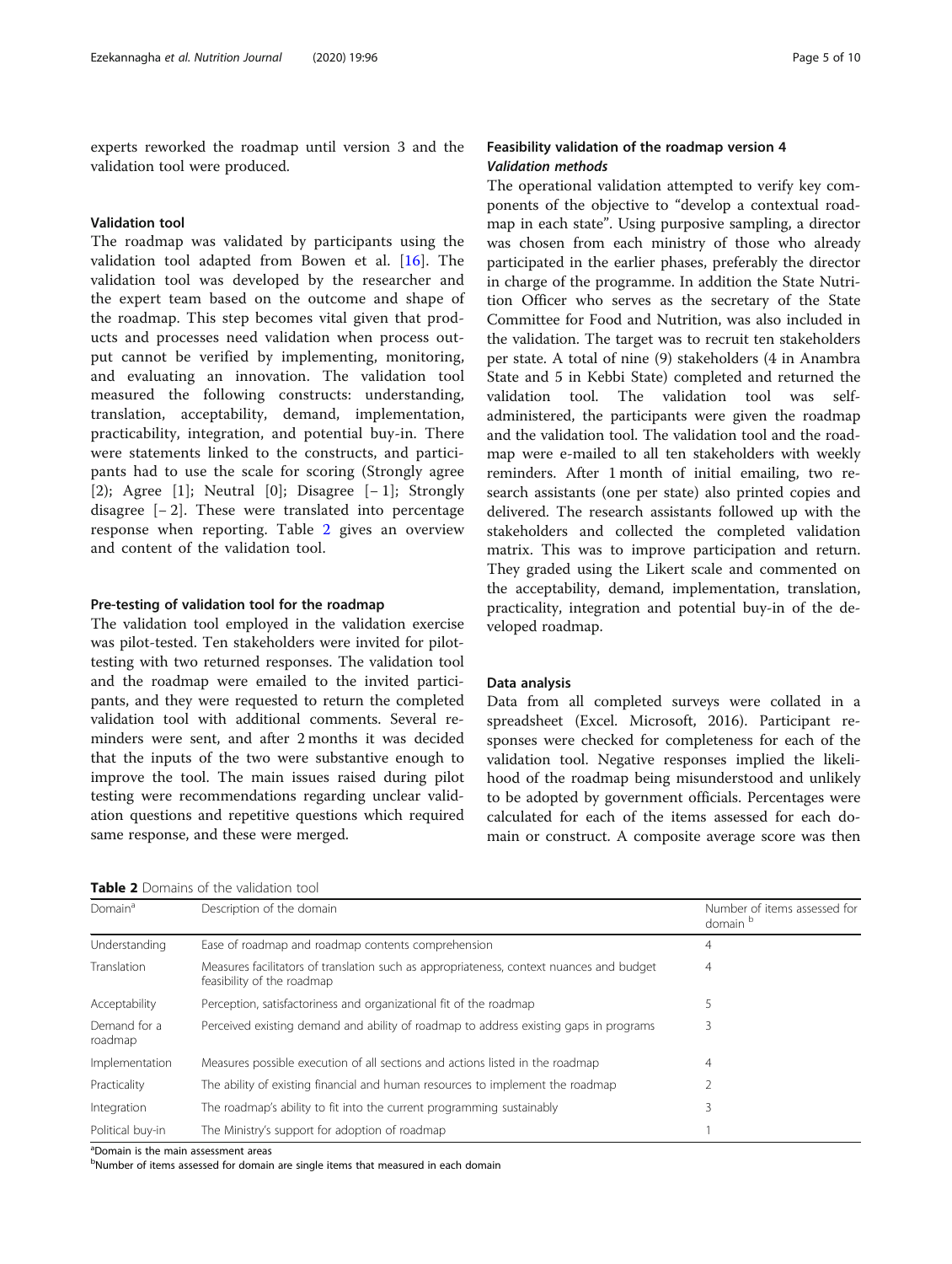experts reworked the roadmap until version 3 and the validation tool were produced.

#### Validation tool

The roadmap was validated by participants using the validation tool adapted from Bowen et al. [\[16](#page-9-0)]. The validation tool was developed by the researcher and the expert team based on the outcome and shape of the roadmap. This step becomes vital given that products and processes need validation when process output cannot be verified by implementing, monitoring, and evaluating an innovation. The validation tool measured the following constructs: understanding, translation, acceptability, demand, implementation, practicability, integration, and potential buy-in. There were statements linked to the constructs, and participants had to use the scale for scoring (Strongly agree [2); Agree [1]; Neutral [0]; Disagree [− 1]; Strongly disagree  $[-2]$ . These were translated into percentage response when reporting. Table 2 gives an overview and content of the validation tool.

#### Pre-testing of validation tool for the roadmap

The validation tool employed in the validation exercise was pilot-tested. Ten stakeholders were invited for pilottesting with two returned responses. The validation tool and the roadmap were emailed to the invited participants, and they were requested to return the completed validation tool with additional comments. Several reminders were sent, and after 2 months it was decided that the inputs of the two were substantive enough to improve the tool. The main issues raised during pilot testing were recommendations regarding unclear validation questions and repetitive questions which required same response, and these were merged.

**Table 2** Domains of the validation tool

#### Feasibility validation of the roadmap version 4 Validation methods

The operational validation attempted to verify key components of the objective to "develop a contextual roadmap in each state". Using purposive sampling, a director was chosen from each ministry of those who already participated in the earlier phases, preferably the director in charge of the programme. In addition the State Nutrition Officer who serves as the secretary of the State Committee for Food and Nutrition, was also included in the validation. The target was to recruit ten stakeholders per state. A total of nine (9) stakeholders (4 in Anambra State and 5 in Kebbi State) completed and returned the validation tool. The validation tool was selfadministered, the participants were given the roadmap and the validation tool. The validation tool and the roadmap were e-mailed to all ten stakeholders with weekly reminders. After 1 month of initial emailing, two research assistants (one per state) also printed copies and delivered. The research assistants followed up with the stakeholders and collected the completed validation matrix. This was to improve participation and return. They graded using the Likert scale and commented on the acceptability, demand, implementation, translation, practicality, integration and potential buy-in of the developed roadmap.

#### Data analysis

Data from all completed surveys were collated in a spreadsheet (Excel. Microsoft, 2016). Participant responses were checked for completeness for each of the validation tool. Negative responses implied the likelihood of the roadmap being misunderstood and unlikely to be adopted by government officials. Percentages were calculated for each of the items assessed for each domain or construct. A composite average score was then

| <b>TUDIC 4</b> DUITIGHTS OF THE VANGULUT LOOK |                                                                                                                        |                                          |  |  |  |  |
|-----------------------------------------------|------------------------------------------------------------------------------------------------------------------------|------------------------------------------|--|--|--|--|
| Domain <sup>a</sup>                           | Description of the domain                                                                                              | Number of items assessed for<br>domain b |  |  |  |  |
| Understanding                                 | Ease of roadmap and roadmap contents comprehension                                                                     | 4                                        |  |  |  |  |
| Translation                                   | Measures facilitators of translation such as appropriateness, context nuances and budget<br>feasibility of the roadmap | 4                                        |  |  |  |  |
| Acceptability                                 | Perception, satisfactoriness and organizational fit of the roadmap                                                     |                                          |  |  |  |  |
| Demand for a<br>roadmap                       | Perceived existing demand and ability of roadmap to address existing gaps in programs                                  | 3                                        |  |  |  |  |
| Implementation                                | Measures possible execution of all sections and actions listed in the roadmap                                          | 4                                        |  |  |  |  |
| Practicality                                  | The ability of existing financial and human resources to implement the roadmap                                         |                                          |  |  |  |  |
| Integration                                   | The roadmap's ability to fit into the current programming sustainably                                                  | 3                                        |  |  |  |  |
| Political buy-in                              | The Ministry's support for adoption of roadmap                                                                         |                                          |  |  |  |  |

<sup>a</sup>Domain is the main assessment areas

<sup>b</sup>Number of items assessed for domain are single items that measured in each domain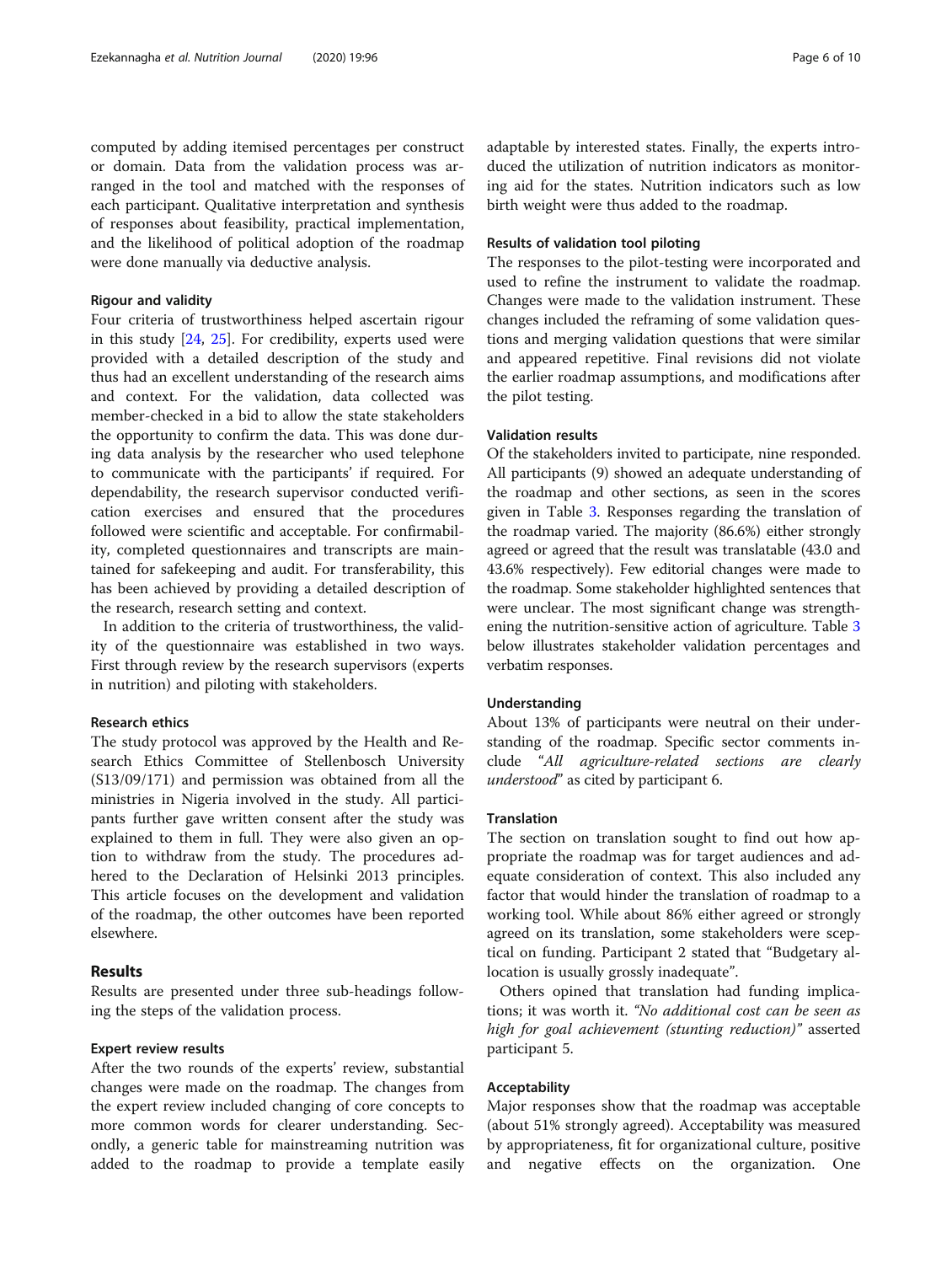computed by adding itemised percentages per construct or domain. Data from the validation process was arranged in the tool and matched with the responses of each participant. Qualitative interpretation and synthesis of responses about feasibility, practical implementation, and the likelihood of political adoption of the roadmap were done manually via deductive analysis.

#### Rigour and validity

Four criteria of trustworthiness helped ascertain rigour in this study [\[24,](#page-9-0) [25\]](#page-9-0). For credibility, experts used were provided with a detailed description of the study and thus had an excellent understanding of the research aims and context. For the validation, data collected was member-checked in a bid to allow the state stakeholders the opportunity to confirm the data. This was done during data analysis by the researcher who used telephone to communicate with the participants' if required. For dependability, the research supervisor conducted verification exercises and ensured that the procedures followed were scientific and acceptable. For confirmability, completed questionnaires and transcripts are maintained for safekeeping and audit. For transferability, this has been achieved by providing a detailed description of the research, research setting and context.

In addition to the criteria of trustworthiness, the validity of the questionnaire was established in two ways. First through review by the research supervisors (experts in nutrition) and piloting with stakeholders.

#### Research ethics

The study protocol was approved by the Health and Research Ethics Committee of Stellenbosch University (S13/09/171) and permission was obtained from all the ministries in Nigeria involved in the study. All participants further gave written consent after the study was explained to them in full. They were also given an option to withdraw from the study. The procedures adhered to the Declaration of Helsinki 2013 principles. This article focuses on the development and validation of the roadmap, the other outcomes have been reported elsewhere.

#### Results

Results are presented under three sub-headings following the steps of the validation process.

#### Expert review results

After the two rounds of the experts' review, substantial changes were made on the roadmap. The changes from the expert review included changing of core concepts to more common words for clearer understanding. Secondly, a generic table for mainstreaming nutrition was added to the roadmap to provide a template easily

#### Results of validation tool piloting

The responses to the pilot-testing were incorporated and used to refine the instrument to validate the roadmap. Changes were made to the validation instrument. These changes included the reframing of some validation questions and merging validation questions that were similar and appeared repetitive. Final revisions did not violate the earlier roadmap assumptions, and modifications after the pilot testing.

#### Validation results

Of the stakeholders invited to participate, nine responded. All participants (9) showed an adequate understanding of the roadmap and other sections, as seen in the scores given in Table [3](#page-6-0). Responses regarding the translation of the roadmap varied. The majority (86.6%) either strongly agreed or agreed that the result was translatable (43.0 and 43.6% respectively). Few editorial changes were made to the roadmap. Some stakeholder highlighted sentences that were unclear. The most significant change was strengthening the nutrition-sensitive action of agriculture. Table [3](#page-6-0) below illustrates stakeholder validation percentages and verbatim responses.

#### Understanding

About 13% of participants were neutral on their understanding of the roadmap. Specific sector comments include "All agriculture-related sections are clearly understood" as cited by participant 6.

#### Translation

The section on translation sought to find out how appropriate the roadmap was for target audiences and adequate consideration of context. This also included any factor that would hinder the translation of roadmap to a working tool. While about 86% either agreed or strongly agreed on its translation, some stakeholders were sceptical on funding. Participant 2 stated that "Budgetary allocation is usually grossly inadequate".

Others opined that translation had funding implications; it was worth it. "No additional cost can be seen as high for goal achievement (stunting reduction)" asserted participant 5.

#### Acceptability

Major responses show that the roadmap was acceptable (about 51% strongly agreed). Acceptability was measured by appropriateness, fit for organizational culture, positive and negative effects on the organization. One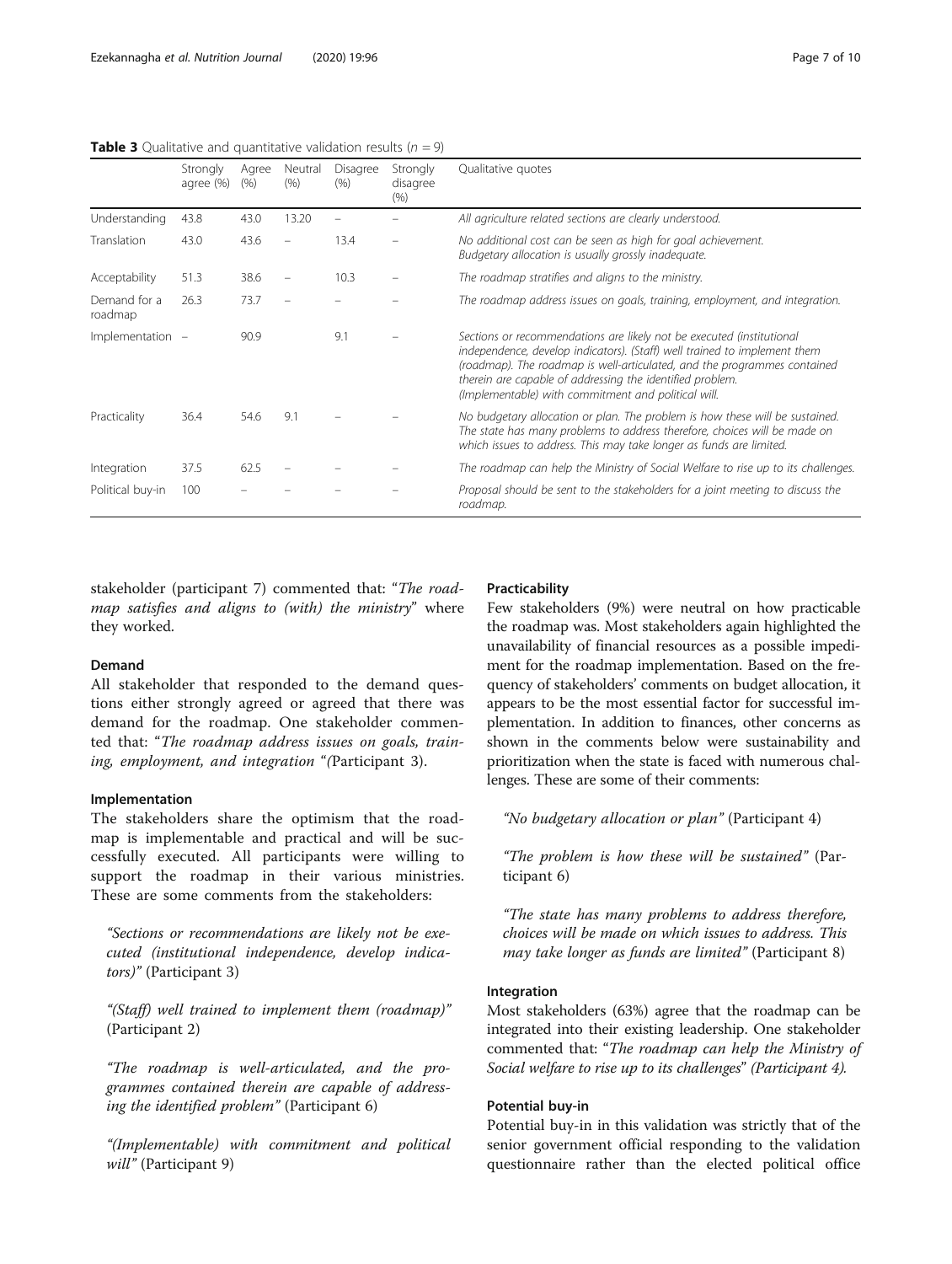stakeholder (participant 7) commented that: "The roadmap satisfies and aligns to (with) the ministry" where they worked.

#### Demand

All stakeholder that responded to the demand questions either strongly agreed or agreed that there was demand for the roadmap. One stakeholder commented that: "The roadmap address issues on goals, training, employment, and integration "(Participant 3).

#### Implementation

The stakeholders share the optimism that the roadmap is implementable and practical and will be successfully executed. All participants were willing to support the roadmap in their various ministries. These are some comments from the stakeholders:

"Sections or recommendations are likely not be executed (institutional independence, develop indicators)" (Participant 3)

"(Staff) well trained to implement them (roadmap)" (Participant 2)

"The roadmap is well-articulated, and the programmes contained therein are capable of addressing the identified problem" (Participant 6)

"(Implementable) with commitment and political will" (Participant 9)

#### Practicability

Few stakeholders (9%) were neutral on how practicable the roadmap was. Most stakeholders again highlighted the unavailability of financial resources as a possible impediment for the roadmap implementation. Based on the frequency of stakeholders' comments on budget allocation, it appears to be the most essential factor for successful implementation. In addition to finances, other concerns as shown in the comments below were sustainability and prioritization when the state is faced with numerous challenges. These are some of their comments:

"No budgetary allocation or plan" (Participant 4)

"The problem is how these will be sustained" (Participant 6)

"The state has many problems to address therefore, choices will be made on which issues to address. This may take longer as funds are limited" (Participant 8)

#### Integration

Most stakeholders (63%) agree that the roadmap can be integrated into their existing leadership. One stakeholder commented that: "The roadmap can help the Ministry of Social welfare to rise up to its challenges" (Participant 4).

#### Potential buy-in

Potential buy-in in this validation was strictly that of the senior government official responding to the validation questionnaire rather than the elected political office

<span id="page-6-0"></span>**Table 3** Qualitative and quantitative validation results ( $n = 9$ )

|                         | Strongly<br>agree (%) | Agree<br>(% ) | Neutral<br>(% ) | Disagree<br>(9/6) | Strongly<br>disagree<br>(%) | Qualitative quotes                                                                                                                                                                                                                                                                                                                                 |
|-------------------------|-----------------------|---------------|-----------------|-------------------|-----------------------------|----------------------------------------------------------------------------------------------------------------------------------------------------------------------------------------------------------------------------------------------------------------------------------------------------------------------------------------------------|
| Understanding           | 43.8                  | 43.0          | 13.20           |                   |                             | All agriculture related sections are clearly understood.                                                                                                                                                                                                                                                                                           |
| Translation             | 43.0                  | 43.6          |                 | 13.4              |                             | No additional cost can be seen as high for goal achievement.<br>Budgetary allocation is usually grossly inadequate.                                                                                                                                                                                                                                |
| Acceptability           | 51.3                  | 38.6          |                 | 10.3              |                             | The roadmap stratifies and aligns to the ministry.                                                                                                                                                                                                                                                                                                 |
| Demand for a<br>roadmap | 26.3                  | 73.7          |                 |                   |                             | The roadmap address issues on goals, training, employment, and integration.                                                                                                                                                                                                                                                                        |
| Implementation -        |                       | 90.9          |                 | 9.1               |                             | Sections or recommendations are likely not be executed (institutional<br>independence, develop indicators). (Staff) well trained to implement them<br>(roadmap). The roadmap is well-articulated, and the programmes contained<br>therein are capable of addressing the identified problem.<br>(Implementable) with commitment and political will. |
| Practicality            | 36.4                  | 54.6          | 9.1             |                   |                             | No budgetary allocation or plan. The problem is how these will be sustained.<br>The state has many problems to address therefore, choices will be made on<br>which issues to address. This may take longer as funds are limited.                                                                                                                   |
| Integration             | 37.5                  | 62.5          |                 |                   |                             | The roadmap can help the Ministry of Social Welfare to rise up to its challenges.                                                                                                                                                                                                                                                                  |
| Political buy-in        | 100                   |               |                 |                   |                             | Proposal should be sent to the stakeholders for a joint meeting to discuss the<br>roadmap.                                                                                                                                                                                                                                                         |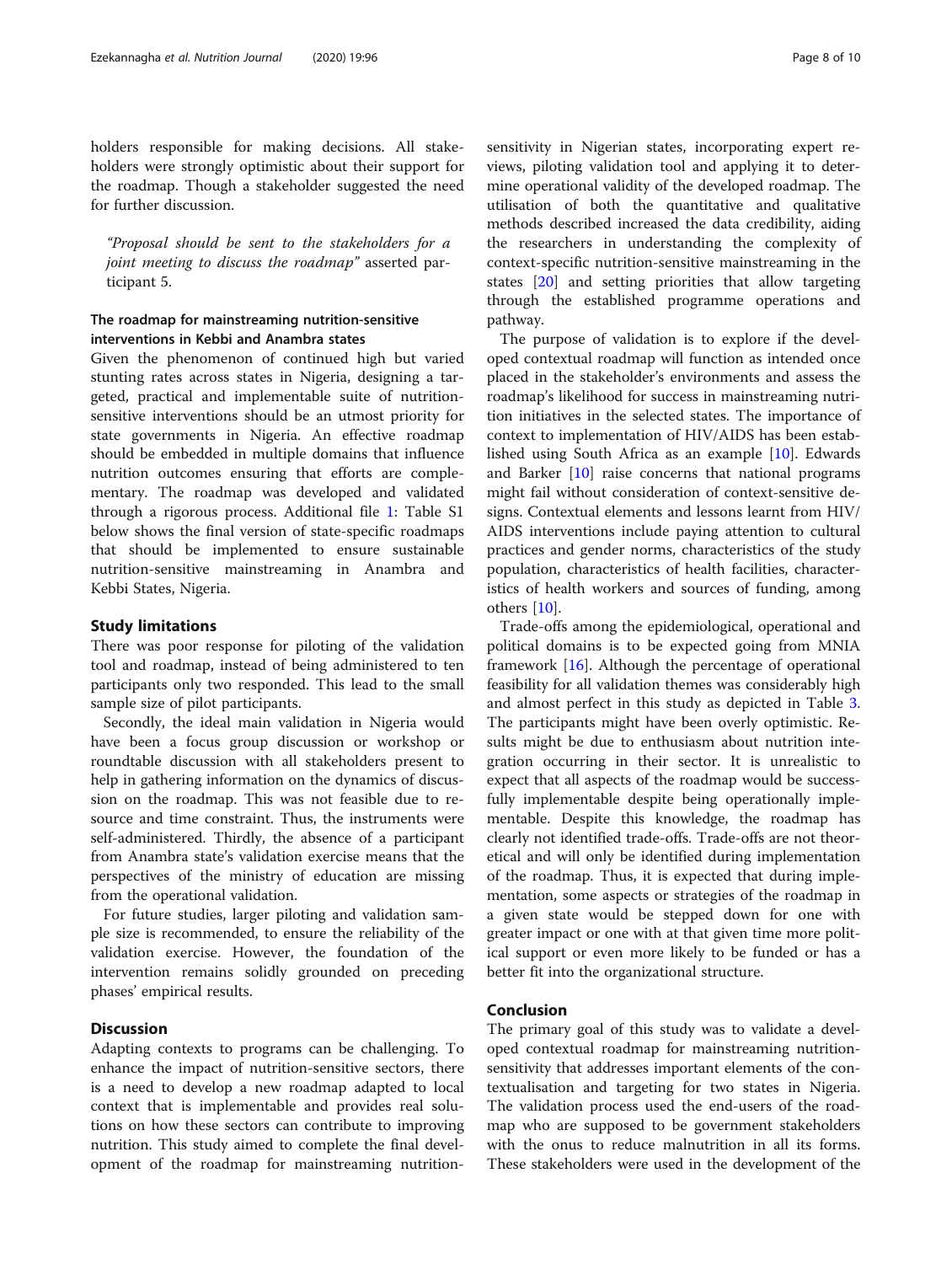holders responsible for making decisions. All stakeholders were strongly optimistic about their support for the roadmap. Though a stakeholder suggested the need for further discussion.

"Proposal should be sent to the stakeholders for a joint meeting to discuss the roadmap" asserted participant 5.

#### The roadmap for mainstreaming nutrition-sensitive interventions in Kebbi and Anambra states

Given the phenomenon of continued high but varied stunting rates across states in Nigeria, designing a targeted, practical and implementable suite of nutritionsensitive interventions should be an utmost priority for state governments in Nigeria. An effective roadmap should be embedded in multiple domains that influence nutrition outcomes ensuring that efforts are complementary. The roadmap was developed and validated through a rigorous process. Additional file [1:](#page-8-0) Table S1 below shows the final version of state-specific roadmaps that should be implemented to ensure sustainable nutrition-sensitive mainstreaming in Anambra and Kebbi States, Nigeria.

#### Study limitations

There was poor response for piloting of the validation tool and roadmap, instead of being administered to ten participants only two responded. This lead to the small sample size of pilot participants.

Secondly, the ideal main validation in Nigeria would have been a focus group discussion or workshop or roundtable discussion with all stakeholders present to help in gathering information on the dynamics of discussion on the roadmap. This was not feasible due to resource and time constraint. Thus, the instruments were self-administered. Thirdly, the absence of a participant from Anambra state's validation exercise means that the perspectives of the ministry of education are missing from the operational validation.

For future studies, larger piloting and validation sample size is recommended, to ensure the reliability of the validation exercise. However, the foundation of the intervention remains solidly grounded on preceding phases' empirical results.

#### **Discussion**

Adapting contexts to programs can be challenging. To enhance the impact of nutrition-sensitive sectors, there is a need to develop a new roadmap adapted to local context that is implementable and provides real solutions on how these sectors can contribute to improving nutrition. This study aimed to complete the final development of the roadmap for mainstreaming nutritionsensitivity in Nigerian states, incorporating expert reviews, piloting validation tool and applying it to determine operational validity of the developed roadmap. The utilisation of both the quantitative and qualitative methods described increased the data credibility, aiding the researchers in understanding the complexity of context-specific nutrition-sensitive mainstreaming in the states [[20](#page-9-0)] and setting priorities that allow targeting through the established programme operations and pathway.

The purpose of validation is to explore if the developed contextual roadmap will function as intended once placed in the stakeholder's environments and assess the roadmap's likelihood for success in mainstreaming nutrition initiatives in the selected states. The importance of context to implementation of HIV/AIDS has been established using South Africa as an example [\[10](#page-9-0)]. Edwards and Barker  $[10]$  raise concerns that national programs might fail without consideration of context-sensitive designs. Contextual elements and lessons learnt from HIV/ AIDS interventions include paying attention to cultural practices and gender norms, characteristics of the study population, characteristics of health facilities, characteristics of health workers and sources of funding, among others [\[10](#page-9-0)].

Trade-offs among the epidemiological, operational and political domains is to be expected going from MNIA framework  $[16]$  $[16]$  $[16]$ . Although the percentage of operational feasibility for all validation themes was considerably high and almost perfect in this study as depicted in Table [3](#page-6-0). The participants might have been overly optimistic. Results might be due to enthusiasm about nutrition integration occurring in their sector. It is unrealistic to expect that all aspects of the roadmap would be successfully implementable despite being operationally implementable. Despite this knowledge, the roadmap has clearly not identified trade-offs. Trade-offs are not theoretical and will only be identified during implementation of the roadmap. Thus, it is expected that during implementation, some aspects or strategies of the roadmap in a given state would be stepped down for one with greater impact or one with at that given time more political support or even more likely to be funded or has a better fit into the organizational structure.

#### Conclusion

The primary goal of this study was to validate a developed contextual roadmap for mainstreaming nutritionsensitivity that addresses important elements of the contextualisation and targeting for two states in Nigeria. The validation process used the end-users of the roadmap who are supposed to be government stakeholders with the onus to reduce malnutrition in all its forms. These stakeholders were used in the development of the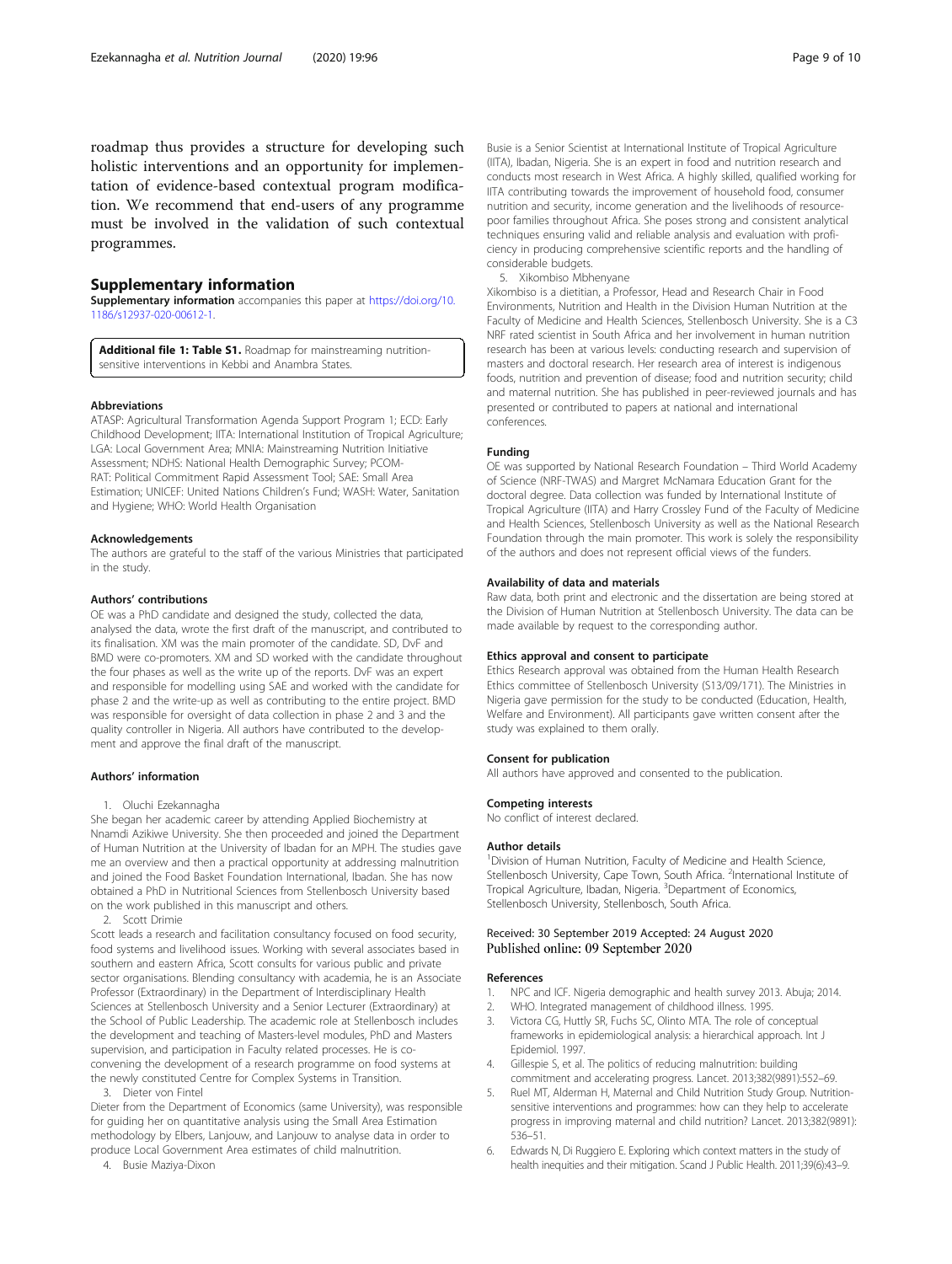#### <span id="page-8-0"></span>Supplementary information

Supplementary information accompanies this paper at [https://doi.org/10.](https://doi.org/10.1186/s12937-020-00612-1) [1186/s12937-020-00612-1](https://doi.org/10.1186/s12937-020-00612-1).

Additional file 1: Table S1. Roadmap for mainstreaming nutritionsensitive interventions in Kebbi and Anambra States.

#### Abbreviations

ATASP: Agricultural Transformation Agenda Support Program 1; ECD: Early Childhood Development; IITA: International Institution of Tropical Agriculture; LGA: Local Government Area; MNIA: Mainstreaming Nutrition Initiative Assessment; NDHS: National Health Demographic Survey; PCOM-RAT: Political Commitment Rapid Assessment Tool; SAE: Small Area Estimation; UNICEF: United Nations Children's Fund; WASH: Water, Sanitation and Hygiene; WHO: World Health Organisation

#### Acknowledgements

The authors are grateful to the staff of the various Ministries that participated in the study.

#### Authors' contributions

OE was a PhD candidate and designed the study, collected the data, analysed the data, wrote the first draft of the manuscript, and contributed to its finalisation. XM was the main promoter of the candidate. SD, DvF and BMD were co-promoters. XM and SD worked with the candidate throughout the four phases as well as the write up of the reports. DvF was an expert and responsible for modelling using SAE and worked with the candidate for phase 2 and the write-up as well as contributing to the entire project. BMD was responsible for oversight of data collection in phase 2 and 3 and the quality controller in Nigeria. All authors have contributed to the development and approve the final draft of the manuscript.

#### Authors' information

#### 1. Oluchi Ezekannagha

She began her academic career by attending Applied Biochemistry at Nnamdi Azikiwe University. She then proceeded and joined the Department of Human Nutrition at the University of Ibadan for an MPH. The studies gave me an overview and then a practical opportunity at addressing malnutrition and joined the Food Basket Foundation International, Ibadan. She has now obtained a PhD in Nutritional Sciences from Stellenbosch University based on the work published in this manuscript and others.

2. Scott Drimie

Scott leads a research and facilitation consultancy focused on food security, food systems and livelihood issues. Working with several associates based in southern and eastern Africa, Scott consults for various public and private sector organisations. Blending consultancy with academia, he is an Associate Professor (Extraordinary) in the Department of Interdisciplinary Health Sciences at Stellenbosch University and a Senior Lecturer (Extraordinary) at the School of Public Leadership. The academic role at Stellenbosch includes the development and teaching of Masters-level modules, PhD and Masters supervision, and participation in Faculty related processes. He is coconvening the development of a research programme on food systems at the newly constituted Centre for Complex Systems in Transition.

3. Dieter von Fintel

Dieter from the Department of Economics (same University), was responsible for guiding her on quantitative analysis using the Small Area Estimation methodology by Elbers, Lanjouw, and Lanjouw to analyse data in order to produce Local Government Area estimates of child malnutrition.

4. Busie Maziya-Dixon

Busie is a Senior Scientist at International Institute of Tropical Agriculture (IITA), Ibadan, Nigeria. She is an expert in food and nutrition research and conducts most research in West Africa. A highly skilled, qualified working for IITA contributing towards the improvement of household food, consumer nutrition and security, income generation and the livelihoods of resourcepoor families throughout Africa. She poses strong and consistent analytical techniques ensuring valid and reliable analysis and evaluation with proficiency in producing comprehensive scientific reports and the handling of considerable budgets.

5. Xikombiso Mbhenyane

Xikombiso is a dietitian, a Professor, Head and Research Chair in Food Environments, Nutrition and Health in the Division Human Nutrition at the Faculty of Medicine and Health Sciences, Stellenbosch University. She is a C3 NRF rated scientist in South Africa and her involvement in human nutrition research has been at various levels: conducting research and supervision of masters and doctoral research. Her research area of interest is indigenous foods, nutrition and prevention of disease; food and nutrition security; child and maternal nutrition. She has published in peer-reviewed journals and has presented or contributed to papers at national and international conferences.

#### Funding

OE was supported by National Research Foundation – Third World Academy of Science (NRF-TWAS) and Margret McNamara Education Grant for the doctoral degree. Data collection was funded by International Institute of Tropical Agriculture (IITA) and Harry Crossley Fund of the Faculty of Medicine and Health Sciences, Stellenbosch University as well as the National Research Foundation through the main promoter. This work is solely the responsibility of the authors and does not represent official views of the funders.

#### Availability of data and materials

Raw data, both print and electronic and the dissertation are being stored at the Division of Human Nutrition at Stellenbosch University. The data can be made available by request to the corresponding author.

#### Ethics approval and consent to participate

Ethics Research approval was obtained from the Human Health Research Ethics committee of Stellenbosch University (S13/09/171). The Ministries in Nigeria gave permission for the study to be conducted (Education, Health, Welfare and Environment). All participants gave written consent after the study was explained to them orally.

#### Consent for publication

All authors have approved and consented to the publication.

#### Competing interests

No conflict of interest declared.

#### Author details

<sup>1</sup> Division of Human Nutrition, Faculty of Medicine and Health Science, Stellenbosch University, Cape Town, South Africa. <sup>2</sup>International Institute of Tropical Agriculture, Ibadan, Nigeria. <sup>3</sup>Department of Economics Stellenbosch University, Stellenbosch, South Africa.

# Received: 30 September 2019 Accepted: 24 August 2020

#### References

- 1. NPC and ICF. Nigeria demographic and health survey 2013. Abuja; 2014.
- 2. WHO. Integrated management of childhood illness. 1995.
- 3. Victora CG, Huttly SR, Fuchs SC, Olinto MTA. The role of conceptual frameworks in epidemiological analysis: a hierarchical approach. Int J Epidemiol. 1997.
- 4. Gillespie S, et al. The politics of reducing malnutrition: building commitment and accelerating progress. Lancet. 2013;382(9891):552–69.
- 5. Ruel MT, Alderman H, Maternal and Child Nutrition Study Group. Nutritionsensitive interventions and programmes: how can they help to accelerate progress in improving maternal and child nutrition? Lancet. 2013;382(9891): 536–51.
- 6. Edwards N, Di Ruggiero E. Exploring which context matters in the study of health inequities and their mitigation. Scand J Public Health. 2011;39(6):43–9.